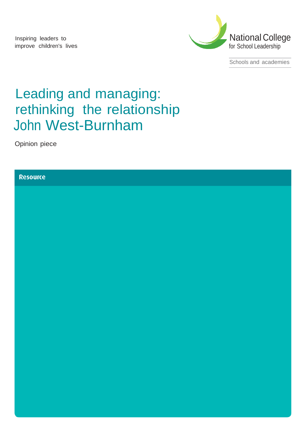Inspiring leaders to improve children's lives



Schools and academies

# Leading and managing: rethinking the relationship John West-Burnham

Opinion piece

### **Resource**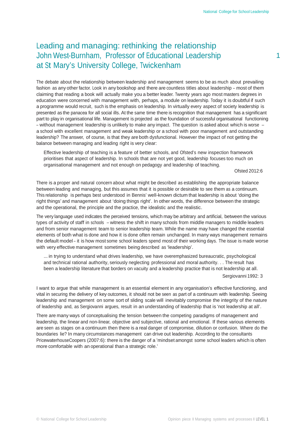# Leading and managing: rethinking the relationship John West-Burnham, Professor of Educational Leadership 1 at St Mary's University College, Twickenham

The debate about the relationship between leadership and management seems to be as much about prevailing fashion as any other factor. Look in any bookshop and there are countless titles about leadership – most of them claiming that reading a book will actually make you a better leader. Twenty years ago most masters degrees in education were concerned with management with, perhaps, a module on leadership. Today it is doubtful if such a programme would recruit, such is the emphasis on leadership. In virtually every aspect of society leadership is presented as the panacea for all social ills. At the same time there is recognition that management has a significant part to play in organisational life. Management is projected as the foundation of successful organisational functioning – without management leadership is unlikely to make any impact. The question is asked about which is worse – a school with excellent management and weak leadership or a school with poor management and outstanding leadership? The answer, of course, is that they are both dysfunctional. However the impact of not getting the balance between managing and leading right is very clear:

Effective leadership of teaching is a feature of better schools, and Ofsted's new inspection framework prioritises that aspect of leadership. In schools that are not yet good, leadership focuses too much on organisational management and not enough on pedagogy and leadership of teaching.

Ofsted 2012:6

There is a proper and natural concern about what might be described as establishing the appropriate balance between leading and managing, but this assumes that it is possible or desirable to see them as a continuum. This relationship is perhaps best understood in Bennis' well-known dictum that leadership is about 'doing the right things' and management about 'doing things right'. In other words, the difference between the strategic and the operational, the principle and the practice, the idealistic and the realistic.

The very language used indicates the perceived tensions, which may be arbitrary and artificial, between the various types of activity of staff in schools – witness the shift in many schools from middle managers to middle leaders and from senior management team to senior leadership team. While the name may have changed the essential elements of both what is done and how it is done often remain unchanged. In many ways management remains the default model – it is how most some school leaders spend most of their working days. The issue is made worse with very effective management sometimes being described as 'leadership'.

... in trying to understand what drives leadership, we have overemphasized bureaucratic, psychological and technical rational authority, seriously neglecting professional and moral authority. . . The result has been a leadership literature that borders on vacuity and a leadership practice that is not leadership at all. Sergiovanni 1992: 3

I want to argue that while management is an essential element in any organisation's effective functioning, and vital in securing the delivery of key outcomes, it should not be seen as part of a continuum with leadership. Seeing leadership and management on some sort of sliding scale will inevitably compromise the integrity of the nature of leadership and, as Sergiovanni argues, result in an understanding of leadership that is 'not leadership at all'.

There are many ways of conceptualising the tension between the competing paradigms of management and leadership, the linear and non-linear, objective and subjective, rational and emotional. If these various elements are seen as stages on a continuum then there is a real danger of compromise, dilution or confusion. Where do the boundaries lie? In many circumstances management can drive out leadership. According to the consultants PricewaterhouseCoopers (2007:6): there is the danger of a 'mindset amongst some school leaders which is often more comfortable with an operational than a strategic role.'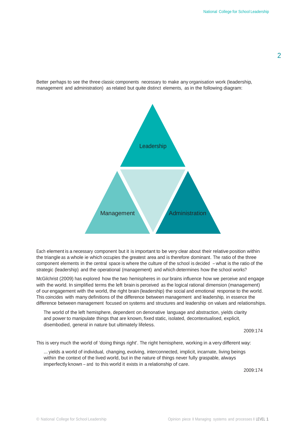**Leadership** Management Administration

Better perhaps to see the three classic components necessary to make any organisation work (leadership, management and administration) as related but quite distinct elements, as in the following diagram:

Each element is a necessary component but it is important to be very clear about their relative position within the triangle as a whole ie which occupies the greatest area and is therefore dominant. The ratio of the three component elements in the central space is where the culture of the school is decided – what is the ratio of the strategic (leadership) and the operational (management) and which determines how the school works?

McGilchrist (2009) has explored how the two hemispheres in our brains influence how we perceive and engage with the world. In simplified terms the left brain is perceived as the logical rational dimension (management) of our engagement with the world, the right brain (leadership) the social and emotional response to the world. This coincides with many definitions of the difference between management and leadership, in essence the difference between management focused on systems and structures and leadership on values and relationships.

The world of the left hemisphere, dependent on denonative language and abstraction, yields clarity and power to manipulate things that are known, fixed static, isolated, decontextualised, explicit, disembodied, general in nature but ultimately lifeless.

2009:174

This is very much the world of 'doing things right'. The right hemisphere, working in a very different way:

... yields a world of individual, changing, evolving, interconnected, implicit, incarnate, living beings within the context of the lived world, but in the nature of things never fully graspable, always imperfectly known – and to this world it exists in a relationship of care.

2009:174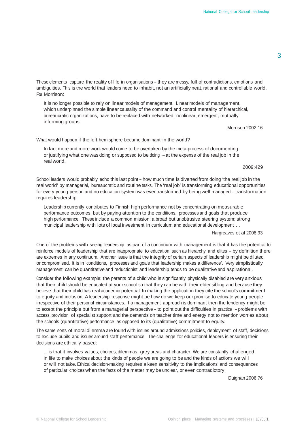These elements capture the reality of life in organisations – they are messy, full of contradictions, emotions and ambiguities. This is the world that leaders need to inhabit, not an artificially neat, rational and controllable world. For Morrison:

It is no longer possible to rely on linear models of management. Linear models of management, which underpinned the simple linear causality of the command and control mentality of hierarchical, bureaucratic organizations, have to be replaced with networked, nonlinear, emergent, mutually informing groups.

Morrison 2002:16

What would happen if the left hemisphere became dominant in the world?

In fact more and more work would come to be overtaken by the meta-process of documenting or justifying what one was doing or supposed to be doing – at the expense of the real job in the real world.

2009:429

School leaders would probably echo this last point – how much time is diverted from doing 'the real job in the real world' by managerial, bureaucratic and routine tasks. The 'real job' is transforming educational opportunities for every young person and no education system was ever transformed by being well managed – transformation requires leadership.

Leadership currently contributes to Finnish high performance not by concentrating on measurable performance outcomes, but by paying attention to the conditions, processes and goals that produce high performance. These include a common mission; a broad but unobtrusive steering system; strong municipal leadership with lots of local investment in curriculum and educational development ...

Hargreaves et al 2008:93

One of the problems with seeing leadership as part of a continuum with management is that it has the potential to reinforce models of leadership that are inappropriate to education such as hierarchy and elites – by definition there are extremes in any continuum. Another issue is that the integrity of certain aspects of leadership might be diluted or compromised. It is in 'conditions, processes and goals that leadership makes a difference'. Very simplistically, management can be quantitative and reductionist and leadership tends to be qualitative and aspirational.

Consider the following example: the parents of a child who is significantly physically disabled are very anxious that their child should be educated at your school so that they can be with their elder sibling and because they believe that their child has real academic potential. In making the application they cite the school's commitment to equity and inclusion. A leadership response might be how do we keep our promise to educate young people irrespective of their personal circumstances. If a management approach is dominant then the tendency might be to accept the principle but from a managerial perspective – to point out the difficulties in practice – problems with access, provision of specialist support and the demands on teacher time and energy not to mention worries about the schools (quantitative) performance as opposed to its (qualitative) commitment to equity.

The same sorts of moral dilemma are found with issues around admissions policies, deployment of staff, decisions to exclude pupils and issues around staff performance. The challenge for educational leaders is ensuring their decisions are ethically based:

... is that it involves values, choices, dilemmas, grey areas and character. We are constantly challenged in life to make choices about the kinds of people we are going to be and the kinds of actions we will or will not take. Ethical decision-making requires a keen sensitivity to the implications and consequences of particular choices when the facts of the matter may be unclear, or even contradictory.

Duignan 2006:76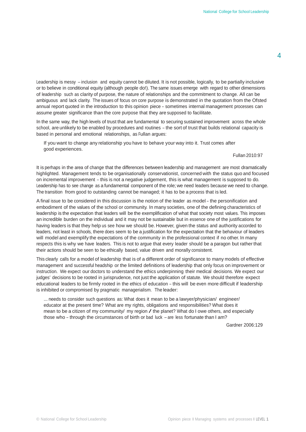Leadership is messy – inclusion and equity cannot be diluted. It is not possible, logically, to be partially inclusive or to believe in conditional equity (although people do!). The same issues emerge with regard to other dimensions of leadership such as clarity of purpose, the nature of relationships and the commitment to change. All can be ambiguous and lack clarity. The issues of focus on core purpose is demonstrated in the quotation from the Ofsted annual report quoted in the introduction to this opinion piece – sometimes internal management processes can assume greater significance than the core purpose that they are supposed to facilitate.

In the same way, the high levels of trust that are fundamental to securing sustained improvement across the whole school, are unlikely to be enabled by procedures and routines – the sort of trust that builds relational capacity is based in personal and emotional relationships, as Fullan argues:

If you want to change any relationship you have to behave your way into it. Trust comes after good experiences.

#### Fullan 2010:97

It is perhaps in the area of change that the differences between leadership and management are most dramatically highlighted. Management tends to be organisationally conservationist, concerned with the status quo and focused on incremental improvement – this is not a negative judgement, this is what management is supposed to do. Leadership has to see change as a fundamental component of the role; we need leaders because we need to change. The transition from good to outstanding cannot be managed; it has to be a process that is led.

A final issue to be considered in this discussion is the notion of the leader as model – the personification and embodiment of the values of the school or community. In many societies, one of the defining characteristics of leadership is the expectation that leaders will be the exemplification of what that society most values. This imposes an incredible burden on the individual and it may not be sustainable but in essence one of the justifications for having leaders is that they help us see how we should be. However, given the status and authority accorded to leaders, not least in schools, there does seem to be a justification for the expectation that the behaviour of leaders will model and exemplify the expectations of the community in the professional context if no other. In many respects this is why we have leaders. This is not to argue that every leader should be a paragon but rather that their actions should be seen to be ethically based, value driven and morally consistent.

This clearly calls for a model of leadership that is of a different order of significance to many models of effective management and successful headship or the limited definitions of leadership that only focus on improvement or instruction. We expect our doctors to understand the ethics underpinning their medical decisions. We expect our judges' decisions to be rooted in jurisprudence, not just the application of statute. We should therefore expect educational leaders to be firmly rooted in the ethics of education – this will be even more difficult if leadership is inhibited or compromised by pragmatic managerialism. The leader:

... needs to consider such questions as: What does it mean to be a lawyer/physician/ engineer/ educator at the present time? What are my rights, obligations and responsibilities? What does it mean to be a citizen of my community/ my region  $\angle$  the planet? What do I owe others, and especially those who – through the circumstances of birth or bad luck – are less fortunate than I am?

Gardner 2006:129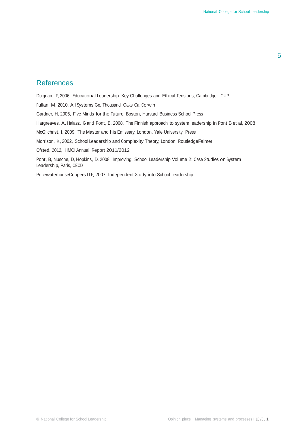## **References**

Duignan, P, 2006, Educational Leadership: Key Challenges and Ethical Tensions, Cambridge, CUP Fullan, M, 2010, All Systems Go, Thousand Oaks Ca, Corwin Gardner, H, 2006, Five Minds for the Future, Boston, Harvard Business School Press Hargreaves, A, Halasz, G and Pont, B, 2008, The Finnish approach to system leadership in Pont B et al, 2008 McGilchrist, I, 2009, The Master and his Emissary, London, Yale University Press Morrison, K, 2002, School Leadership and Complexity Theory, London, RoutledgeFalmer Ofsted, 2012, HMCI Annual Report 2011/2012 Pont, B, Nusche, D, Hopkins, D, 2008, Improving School Leadership Volume 2: Case Studies on System Leadership, Paris, OECD

PricewaterhouseCoopers LLP, 2007, Independent Study into School Leadership